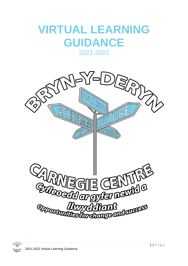# **VIRTUAL LEARNING GUIDANCE**

# 2021-2022



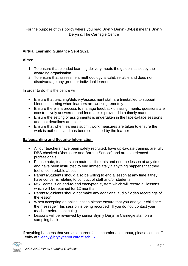For the purpose of this policy where you read Bryn y Deryn (ByD) it means Bryn y Deryn & The Carnegie Centre

# **Virtual Learning Guidance Sept 2021**

## **Aims**:

- 1. To ensure that blended learning delivery meets the guidelines set by the awarding organisation.
- 2. To ensure that assessment methodology is valid, reliable and does not disadvantage any group or individual learners

In order to do this the centre will:

- Ensure that teaching/delivery/assessment staff are timetabled to support blended learning when learners are working remotely
- Ensure there is a process to manage feedback on assignments, questions are constructively answered, and feedback is provided in a timely manner
- Ensure the setting of assignments is undertaken in the face-to-face sessions and that deadlines are clear
- Ensure that when learners submit work measures are taken to ensure the work is authentic and has been completed by the learner

# **Safeguarding and Security Information**

- All our teachers have been safely recruited, have up-to-date training, are fully DBS checked (Disclosure and Barring Service) and are experienced professionals
- Please note, teachers can mute participants and end the lesson at any time and have been instructed to end immediately if anything happens that they feel uncomfortable about
- Parents/Students should also be willing to end a lesson at any time if they have concerns relating to conduct of staff and/or students
- MS Teams is an end-to-end encrypted system which will record all lessons, which will be retained for 12 months
- Parents/Students should not make any additional audio / video recordings of the lesson
- When accepting an online lesson please ensure that you and your child see the message 'This session is being recorded'. If you do not, contact your teacher before continuing
- Lessons will be reviewed by senior Bryn y Deryn & Carnegie staff on a sampling basis

If anything happens that you as a parent feel uncomfortable about, please contact T Leahy at [t.leahy@brynyderyn.cardiff.sch.uk](mailto:t.leahy@brynyderyn.cardiff.sch.uk)

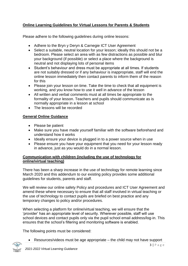# **Online Learning Guidelines for Virtual Lessons for Parents & Students**

Please adhere to the following guidelines during online lessons:

- Adhere to the Bryn y Deryn & Carnegie ICT User Agreement
- Select a suitable, neutral location for your lesson; ideally this should not be a bedroom. Please select an area with as few distractions as possible and blur your background (if possible) or select a place where the background is neutral and not displaying lots of personal items
- Student's behaviour and dress must be appropriate at all times. If students are not suitably dressed or if any behaviour is inappropriate, staff will end the online lesson immediately then contact parents to inform them of the reason for this
- Please join your lesson on time. Take the time to check that all equipment is working, and you know how to use it well in advance of the lesson
- All written and verbal comments must at all times be appropriate to the formality of your lesson. Teachers and pupils should communicate as is normally appropriate in a lesson at school
- The lessons will be recorded

## **General Online Guidance**

- Please be patient
- Make sure you have made yourself familiar with the software beforehand and understand how it works
- Ideally ensure your device is plugged in to a power source when in use
- Please ensure you have your equipment that you need for your lesson ready in advance, just as you would do in a normal lesson.

#### **Communication with children (including the use of technology for online/virtual teaching)**

There has been a sharp increase in the use of technology for remote learning since March 2020 and this addendum to our existing policy provides some additional guidelines for students, parents and staff.

We will review our online safety Policy and procedures and ICT User Agreement and amend these where necessary to ensure that all staff involved in virtual teaching or the use of technology to contact pupils are briefed on best practice and any temporary changes to policy and/or procedures.

When selecting a platform for online/virtual teaching, we will ensure that the 'provider' has an appropriate level of security. Wherever possible, staff will use school devices and contact pupils only via the pupil school email address/log-in. This ensures that the school's filtering and monitoring software is enabled.

The following points must be considered:

• Resources/videos must be age appropriate – the child may not have support

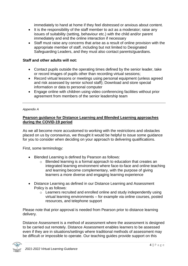immediately to hand at home if they feel distressed or anxious about content.

- It is the responsibility of the staff member to act as a moderator; raise any issues of suitability (setting, behaviour etc.) with the child and/or parent immediately and end the online interaction if necessary
- Staff must raise any concerns that arise as a result of online provision with the appropriate member of staff, including but not limited to Designated Safeguarding Leaders, and they must also contact parents/guardians.

#### **Staff and other adults will not:**

- Contact pupils outside the operating times defined by the senior leader, take or record images of pupils other than recording virtual sessions;
- Record virtual lessons or meetings using personal equipment (unless agreed and risk assessed by senior school staff); Download and store special information or data to personal computer
- Engage online with children using video conferencing facilities without prior agreement from members of the senior leadership team

#### *Appendix A*

#### **Pearson guidance for Distance Learning and Blended Learning approaches during the COVID-19 period**

As we all become more accustomed to working with the restrictions and obstacles placed on us by coronavirus, we thought it would be helpful to issue some guidance for you to consider when deciding on your approach to delivering qualifications.

First, some terminology:

- Blended Learning is defined by Pearson as follows:
	- o Blended learning is a formal approach to education that creates an integrated learning environment where face-to-face and online teaching and learning become complementary, with the purpose of giving learners a more diverse and engaging learning experience
- Distance Learning as defined in our Distance Learning and Assessment Policy is as follows:
	- o Learners recruited and enrolled online and study independently using virtual learning environments – for example via online courses, posted resources, and telephone support

Please note that prior approval is needed from Pearson prior to distance learning delivery.

Distance Assessment is a method of assessment where the assessment is designed to be carried out remotely. Distance Assessment enables learners to be assessed even if they are in situations/settings where traditional methods of assessment may be difficult or impossible to operate. Our teaching guides provide support on this

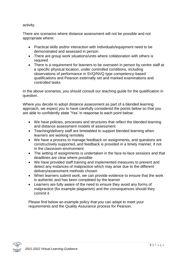#### activity.

There are scenarios where distance assessment will not be possible and not appropriate where:

- Practical skills and/or interaction with individuals/equipment need to be demonstrated and assessed in person
- There are group work situations/units where collaboration with others is required
- There is a requirement for learners to be overseen in person by centre staff at a specific physical location, under controlled conditions, including observations of performance in SVQ/NVQ type competency-based qualifications and Pearson externally set and marked examinations and controlled tasks

In the above scenarios, you should consult our teaching guide for the qualification in question.

Where you decide to adopt distance assessment as part of a blended learning approach, we expect you to have carefully considered the points below so that you are able to confidently state 'Yes' in response to each point below:

- We have policies, processes and structures that reflect the blended learning and distance assessment models of assessment
- Teaching/delivery staff are timetabled to support blended learning when learners are working remotely
- We have a process to manage feedback on assignments, and questions are constructively supported, and feedback is provided in a timely manner, if not in the classroom environment
- The setting of assignments is undertaken in the face-to-face sessions and that deadlines are clear where possible
- We have provided staff training and implemented measures to prevent and detect any instances of malpractice which may arise due to the different delivery/assessment methods chosen
- When learners submit work, we can provide evidence to ensure that the work is authentic and has been completed by the learner
- Learners are fully aware of the need to ensure they avoid any forms of malpractice (for example plagiarism) and the consequences should they commit it

Please find below an example policy that you can adapt to meet your requirements and the Quality Assurance process for Pearson.